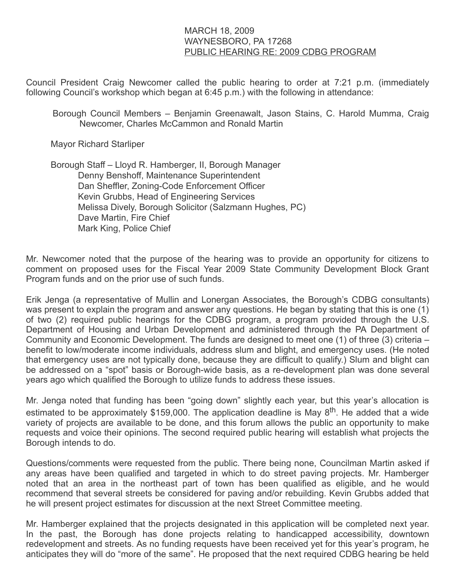## MARCH 18, 2009 WAYNESBORO, PA 17268 PUBLIC HEARING RE: 2009 CDBG PROGRAM

Council President Craig Newcomer called the public hearing to order at 7:21 p.m. (immediately following Council's workshop which began at 6:45 p.m.) with the following in attendance:

Borough Council Members – Benjamin Greenawalt, Jason Stains, C. Harold Mumma, Craig Newcomer, Charles McCammon and Ronald Martin

Mayor Richard Starliper

 Borough Staff – Lloyd R. Hamberger, II, Borough Manager Denny Benshoff, Maintenance Superintendent Dan Sheffler, Zoning-Code Enforcement Officer Kevin Grubbs, Head of Engineering Services Melissa Dively, Borough Solicitor (Salzmann Hughes, PC) Dave Martin, Fire Chief Mark King, Police Chief

Mr. Newcomer noted that the purpose of the hearing was to provide an opportunity for citizens to comment on proposed uses for the Fiscal Year 2009 State Community Development Block Grant Program funds and on the prior use of such funds.

Erik Jenga (a representative of Mullin and Lonergan Associates, the Borough's CDBG consultants) was present to explain the program and answer any questions. He began by stating that this is one (1) of two (2) required public hearings for the CDBG program, a program provided through the U.S. Department of Housing and Urban Development and administered through the PA Department of Community and Economic Development. The funds are designed to meet one (1) of three (3) criteria – benefit to low/moderate income individuals, address slum and blight, and emergency uses. (He noted that emergency uses are not typically done, because they are difficult to qualify.) Slum and blight can be addressed on a "spot" basis or Borough-wide basis, as a re-development plan was done several years ago which qualified the Borough to utilize funds to address these issues.

Mr. Jenga noted that funding has been "going down" slightly each year, but this year's allocation is estimated to be approximately \$159,000. The application deadline is May 8<sup>th</sup>. He added that a wide variety of projects are available to be done, and this forum allows the public an opportunity to make requests and voice their opinions. The second required public hearing will establish what projects the Borough intends to do.

Questions/comments were requested from the public. There being none, Councilman Martin asked if any areas have been qualified and targeted in which to do street paving projects. Mr. Hamberger noted that an area in the northeast part of town has been qualified as eligible, and he would recommend that several streets be considered for paving and/or rebuilding. Kevin Grubbs added that he will present project estimates for discussion at the next Street Committee meeting.

Mr. Hamberger explained that the projects designated in this application will be completed next year. In the past, the Borough has done projects relating to handicapped accessibility, downtown redevelopment and streets. As no funding requests have been received yet for this year's program, he anticipates they will do "more of the same". He proposed that the next required CDBG hearing be held